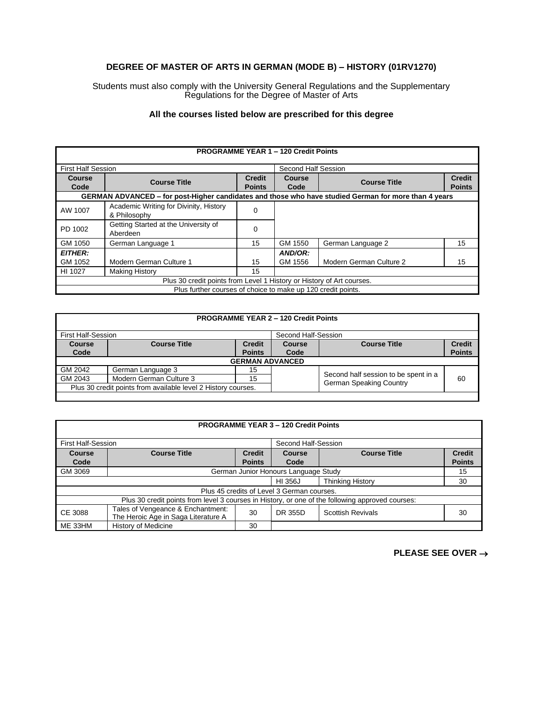## **DEGREE OF MASTER OF ARTS IN GERMAN (MODE B) – HISTORY (01RV1270)**

Students must also comply with the University General Regulations and the Supplementary Regulations for the Degree of Master of Arts

## **All the courses listed below are prescribed for this degree**

| <b>PROGRAMME YEAR 1 - 120 Credit Points</b>                           |                                                                                                      |                                |                     |                         |                                |
|-----------------------------------------------------------------------|------------------------------------------------------------------------------------------------------|--------------------------------|---------------------|-------------------------|--------------------------------|
| <b>First Half Session</b>                                             |                                                                                                      |                                | Second Half Session |                         |                                |
| <b>Course</b><br>Code                                                 | <b>Course Title</b>                                                                                  | <b>Credit</b><br><b>Points</b> | Course<br>Code      | <b>Course Title</b>     | <b>Credit</b><br><b>Points</b> |
|                                                                       | GERMAN ADVANCED - for post-Higher candidates and those who have studied German for more than 4 years |                                |                     |                         |                                |
| AW 1007                                                               | Academic Writing for Divinity, History<br>& Philosophy                                               | 0                              |                     |                         |                                |
| PD 1002                                                               | Getting Started at the University of<br>Aberdeen                                                     | 0                              |                     |                         |                                |
| GM 1050                                                               | German Language 1                                                                                    | 15                             | GM 1550             | German Language 2       | 15                             |
| <b>EITHER:</b>                                                        |                                                                                                      |                                | AND/OR:             |                         |                                |
| GM 1052                                                               | Modern German Culture 1                                                                              | 15                             | GM 1556             | Modern German Culture 2 | 15                             |
| HI 1027                                                               | <b>Making History</b>                                                                                | 15                             |                     |                         |                                |
| Plus 30 credit points from Level 1 History or History of Art courses. |                                                                                                      |                                |                     |                         |                                |
| Plus further courses of choice to make up 120 credit points.          |                                                                                                      |                                |                     |                         |                                |

| <b>PROGRAMME YEAR 2 - 120 Credit Points</b>                   |                         |                        |        |                                                                 |               |
|---------------------------------------------------------------|-------------------------|------------------------|--------|-----------------------------------------------------------------|---------------|
| <b>First Half-Session</b><br>Second Half-Session              |                         |                        |        |                                                                 |               |
| Course                                                        | <b>Course Title</b>     | <b>Credit</b>          | Course | <b>Course Title</b>                                             | <b>Credit</b> |
| Code                                                          |                         | <b>Points</b>          | Code   |                                                                 | <b>Points</b> |
|                                                               |                         | <b>GERMAN ADVANCED</b> |        |                                                                 |               |
| GM 2042                                                       | German Language 3       | 15                     |        | Second half session to be spent in a<br>German Speaking Country | 60            |
| GM 2043                                                       | Modern German Culture 3 | 15                     |        |                                                                 |               |
| Plus 30 credit points from available level 2 History courses. |                         |                        |        |                                                                 |               |

| <b>PROGRAMME YEAR 3 - 120 Credit Points</b>                                                      |                                                                          |               |         |                          |               |
|--------------------------------------------------------------------------------------------------|--------------------------------------------------------------------------|---------------|---------|--------------------------|---------------|
| <b>First Half-Session</b><br>Second Half-Session                                                 |                                                                          |               |         |                          |               |
| Course                                                                                           | <b>Course Title</b>                                                      | <b>Credit</b> | Course  | <b>Course Title</b>      | <b>Credit</b> |
| Code                                                                                             |                                                                          | <b>Points</b> | Code    |                          | <b>Points</b> |
| GM 3069                                                                                          | German Junior Honours Language Study<br>15                               |               |         |                          |               |
|                                                                                                  |                                                                          |               | HI 356J | <b>Thinking History</b>  | 30            |
| Plus 45 credits of Level 3 German courses.                                                       |                                                                          |               |         |                          |               |
| Plus 30 credit points from level 3 courses in History, or one of the following approved courses: |                                                                          |               |         |                          |               |
| CE 3088                                                                                          | Tales of Vengeance & Enchantment:<br>The Heroic Age in Saga Literature A | 30            | DR 355D | <b>Scottish Revivals</b> | 30            |
| ME 33HM                                                                                          | History of Medicine                                                      | 30            |         |                          |               |

## **PLEASE SEE OVER** →